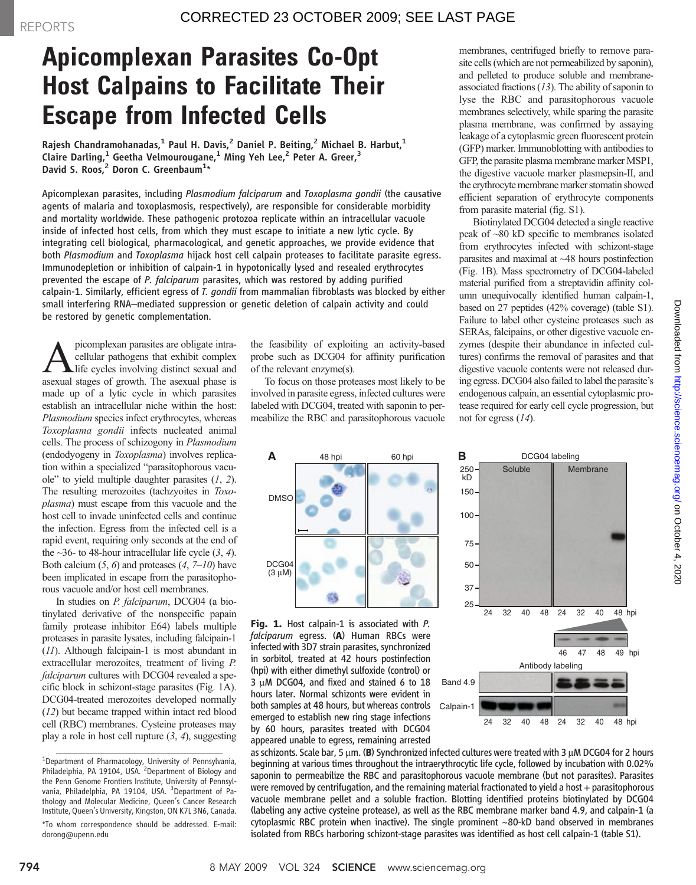# Apicomplexan Parasites Co-Opt Host Calpains to Facilitate Their Escape from Infected Cells

Rajesh Chandramohanadas,<sup>1</sup> Paul H. Davis,<sup>2</sup> Daniel P. Beiting,<sup>2</sup> Michael B. Harbut,<sup>1</sup> Claire Darling,<sup>1</sup> Geetha Velmourougane,<sup>1</sup> Ming Yeh Lee,<sup>2</sup> Peter A. Greer,<sup>3</sup> David S. Roos,<sup>2</sup> Doron C. Greenbaum<sup>1</sup>\*

Apicomplexan parasites, including Plasmodium falciparum and Toxoplasma gondii (the causative agents of malaria and toxoplasmosis, respectively), are responsible for considerable morbidity and mortality worldwide. These pathogenic protozoa replicate within an intracellular vacuole inside of infected host cells, from which they must escape to initiate a new lytic cycle. By integrating cell biological, pharmacological, and genetic approaches, we provide evidence that both Plasmodium and Toxoplasma hijack host cell calpain proteases to facilitate parasite egress. Immunodepletion or inhibition of calpain-1 in hypotonically lysed and resealed erythrocytes prevented the escape of P. falciparum parasites, which was restored by adding purified calpain-1. Similarly, efficient egress of T. gondii from mammalian fibroblasts was blocked by either small interfering RNA–mediated suppression or genetic deletion of calpain activity and could be restored by genetic complementation.

**A** picomplexan parasites are obligate intra-<br>cellular pathogens that exhibit complex<br>life cycles involving distinct sexual and<br>asexual stages of growth. The asexual phase is cellular pathogens that exhibit complex life cycles involving distinct sexual and asexual stages of growth. The asexual phase is made up of a lytic cycle in which parasites establish an intracellular niche within the host: Plasmodium species infect erythrocytes, whereas Toxoplasma gondii infects nucleated animal cells. The process of schizogony in Plasmodium (endodyogeny in Toxoplasma) involves replication within a specialized "parasitophorous vacuole" to yield multiple daughter parasites  $(1, 2)$ . The resulting merozoites (tachzyoites in Toxoplasma) must escape from this vacuole and the host cell to invade uninfected cells and continue the infection. Egress from the infected cell is a rapid event, requiring only seconds at the end of the  $\sim$ 36- to 48-hour intracellular life cycle (3, 4). Both calcium  $(5, 6)$  and proteases  $(4, 7-10)$  have been implicated in escape from the parasitophorous vacuole and/or host cell membranes.

In studies on P. falciparum, DCG04 (a biotinylated derivative of the nonspecific papain family protease inhibitor E64) labels multiple proteases in parasite lysates, including falcipain-1 (11). Although falcipain-1 is most abundant in extracellular merozoites, treatment of living P. falciparum cultures with DCG04 revealed a specific block in schizont-stage parasites (Fig. 1A). DCG04-treated merozoites developed normally (12) but became trapped within intact red blood cell (RBC) membranes. Cysteine proteases may play a role in host cell rupture  $(3, 4)$ , suggesting the feasibility of exploiting an activity-based probe such as DCG04 for affinity purification of the relevant enzyme(s).

To focus on those proteases most likely to be involved in parasite egress, infected cultures were labeled with DCG04, treated with saponin to permeabilize the RBC and parasitophorous vacuole



Fig. 1. Host calpain-1 is associated with P. falciparum egress. (A) Human RBCs were infected with 3D7 strain parasites, synchronized in sorbitol, treated at 42 hours postinfection (hpi) with either dimethyl sulfoxide (control) or  $3 \mu$ M DCG04, and fixed and stained 6 to 18 hours later. Normal schizonts were evident in both samples at 48 hours, but whereas controls emerged to establish new ring stage infections by 60 hours, parasites treated with DCG04 appeared unable to egress, remaining arrested

membranes, centrifuged briefly to remove parasite cells (which are not permeabilized by saponin), and pelleted to produce soluble and membraneassociated fractions  $(13)$ . The ability of saponin to lyse the RBC and parasitophorous vacuole membranes selectively, while sparing the parasite plasma membrane, was confirmed by assaying leakage of a cytoplasmic green fluorescent protein (GFP) marker. Immunoblotting with antibodies to GFP, the parasite plasma membrane marker MSP1, the digestive vacuole marker plasmepsin-II, and the erythrocyte membrane marker stomatin showed efficient separation of erythrocyte components from parasite material (fig. S1).

Biotinylated DCG04 detected a single reactive peak of ~80 kD specific to membranes isolated from erythrocytes infected with schizont-stage parasites and maximal at ~48 hours postinfection (Fig. 1B). Mass spectrometry of DCG04-labeled material purified from a streptavidin affinity column unequivocally identified human calpain-1, based on 27 peptides (42% coverage) (table S1). Failure to label other cysteine proteases such as SERAs, falcipains, or other digestive vacuole enzymes (despite their abundance in infected cultures) confirms the removal of parasites and that digestive vacuole contents were not released during egress. DCG04 also failed to label the parasite's endogenous calpain, an essential cytoplasmic protease required for early cell cycle progression, but not for egress (14).



as schizonts. Scale bar, 5 um. (B) Synchronized infected cultures were treated with 3 uM DCG04 for 2 hours beginning at various times throughout the intraerythrocytic life cycle, followed by incubation with 0.02% saponin to permeabilize the RBC and parasitophorous vacuole membrane (but not parasites). Parasites were removed by centrifugation, and the remaining material fractionated to yield a host + parasitophorous vacuole membrane pellet and a soluble fraction. Blotting identified proteins biotinylated by DCG04 (labeling any active cysteine protease), as well as the RBC membrane marker band 4.9, and calpain-1 (a cytoplasmic RBC protein when inactive). The single prominent ~80-kD band observed in membranes isolated from RBCs harboring schizont-stage parasites was identified as host cell calpain-1 (table S1).

<sup>&</sup>lt;sup>1</sup> Department of Pharmacology, University of Pennsylvania,<br>Philadelphia, PA 19104, USA. <sup>2</sup> Department of Biology and the Penn Genome Frontiers Institute, University of Pennsylvania, Philadelphia, PA 19104, USA. <sup>3</sup>Department of Pathology and Molecular Medicine, Queen's Cancer Research Institute, Queen's University, Kingston, ON K7L 3N6, Canada.

<sup>\*</sup>To whom correspondence should be addressed. E-mail: dorong@upenn.edu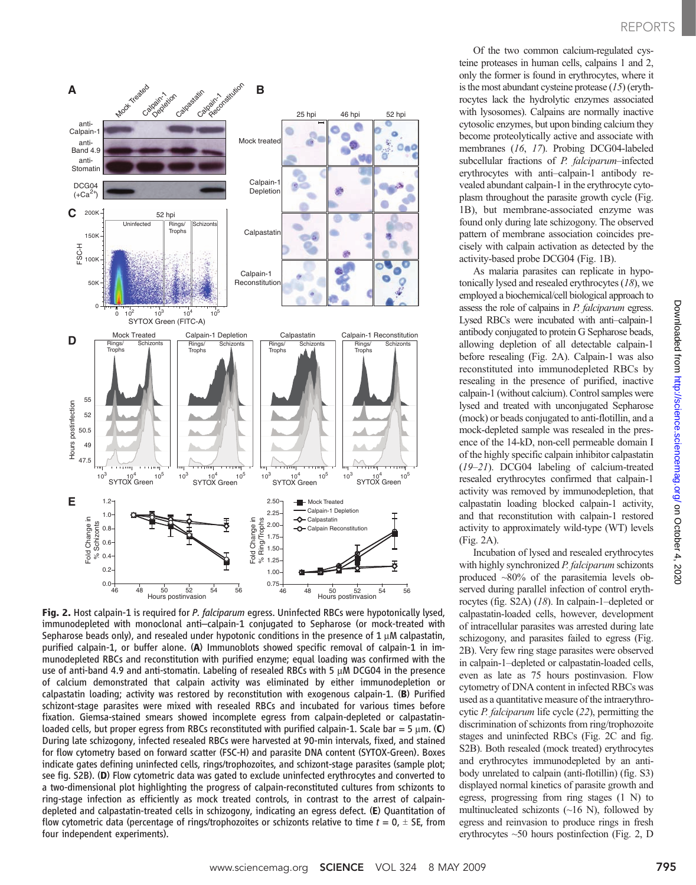

Fig. 2. Host calpain-1 is required for P. falciparum egress. Uninfected RBCs were hypotonically lysed, immunodepleted with monoclonal anti–calpain-1 conjugated to Sepharose (or mock-treated with Sepharose beads only), and resealed under hypotonic conditions in the presence of 1  $\mu$ M calpastatin, purified calpain-1, or buffer alone. (A) Immunoblots showed specific removal of calpain-1 in immunodepleted RBCs and reconstitution with purified enzyme; equal loading was confirmed with the use of anti-band 4.9 and anti-stomatin. Labeling of resealed RBCs with 5 µM DCG04 in the presence of calcium demonstrated that calpain activity was eliminated by either immunodepletion or calpastatin loading; activity was restored by reconstitution with exogenous calpain-1. (B) Purified schizont-stage parasites were mixed with resealed RBCs and incubated for various times before fixation. Giemsa-stained smears showed incomplete egress from calpain-depleted or calpastatinloaded cells, but proper egress from RBCs reconstituted with purified calpain-1. Scale bar = 5  $\mu$ m. (C) During late schizogony, infected resealed RBCs were harvested at 90-min intervals, fixed, and stained for flow cytometry based on forward scatter (FSC-H) and parasite DNA content (SYTOX-Green). Boxes indicate gates defining uninfected cells, rings/trophozoites, and schizont-stage parasites (sample plot; see fig. S2B). (D) Flow cytometric data was gated to exclude uninfected erythrocytes and converted to a two-dimensional plot highlighting the progress of calpain-reconstituted cultures from schizonts to ring-stage infection as efficiently as mock treated controls, in contrast to the arrest of calpaindepleted and calpastatin-treated cells in schizogony, indicating an egress defect. (E) Quantitation of flow cytometric data (percentage of rings/trophozoites or schizonts relative to time  $t = 0, \pm$  SE, from four independent experiments).

Of the two common calcium-regulated cysteine proteases in human cells, calpains 1 and 2, only the former is found in erythrocytes, where it is the most abundant cysteine protease  $(15)$  (erythrocytes lack the hydrolytic enzymes associated with lysosomes). Calpains are normally inactive cytosolic enzymes, but upon binding calcium they become proteolytically active and associate with membranes (16, 17). Probing DCG04-labeled subcellular fractions of P. falciparum–infected erythrocytes with anti–calpain-1 antibody revealed abundant calpain-1 in the erythrocyte cytoplasm throughout the parasite growth cycle (Fig. 1B), but membrane-associated enzyme was found only during late schizogony. The observed pattern of membrane association coincides precisely with calpain activation as detected by the activity-based probe DCG04 (Fig. 1B).

As malaria parasites can replicate in hypotonically lysed and resealed erythrocytes  $(18)$ , we employed a biochemical/cell biological approach to assess the role of calpains in P. falciparum egress. Lysed RBCs were incubated with anti–calpain-1 antibody conjugated to protein G Sepharose beads, allowing depletion of all detectable calpain-1 before resealing (Fig. 2A). Calpain-1 was also reconstituted into immunodepleted RBCs by resealing in the presence of purified, inactive calpain-1 (without calcium). Control samples were lysed and treated with unconjugated Sepharose (mock) or beads conjugated to anti-flotillin, and a mock-depleted sample was resealed in the presence of the 14-kD, non-cell permeable domain I of the highly specific calpain inhibitor calpastatin (19–21). DCG04 labeling of calcium-treated resealed erythrocytes confirmed that calpain-1 activity was removed by immunodepletion, that calpastatin loading blocked calpain-1 activity, and that reconstitution with calpain-1 restored activity to approximately wild-type (WT) levels (Fig. 2A).

Incubation of lysed and resealed erythrocytes with highly synchronized P. falciparum schizonts produced ~80% of the parasitemia levels observed during parallel infection of control erythrocytes (fig. S2A) (18). In calpain-1–depleted or calpastatin-loaded cells, however, development of intracellular parasites was arrested during late schizogony, and parasites failed to egress (Fig. 2B). Very few ring stage parasites were observed in calpain-1–depleted or calpastatin-loaded cells, even as late as 75 hours postinvasion. Flow cytometry of DNA content in infected RBCs was used as a quantitative measure of the intraerythrocytic *P. falciparum* life cycle (22), permitting the discrimination of schizonts from ring/trophozoite stages and uninfected RBCs (Fig. 2C and fig. S2B). Both resealed (mock treated) erythrocytes and erythrocytes immunodepleted by an antibody unrelated to calpain (anti-flotillin) (fig. S3) displayed normal kinetics of parasite growth and egress, progressing from ring stages (1 N) to multinucleated schizonts  $(\sim]16$  N), followed by egress and reinvasion to produce rings in fresh erythrocytes ~50 hours postinfection (Fig. 2, D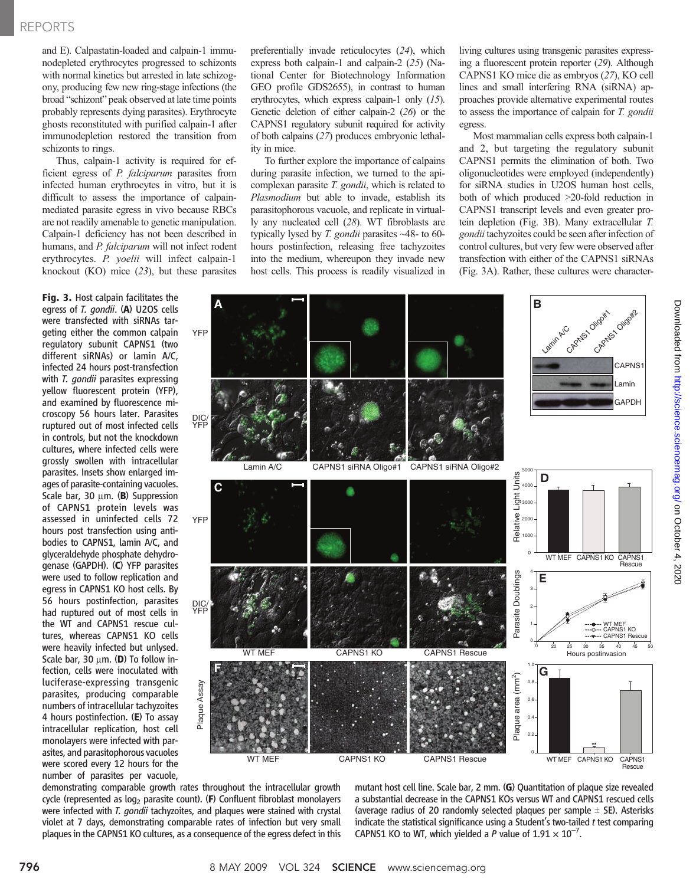### REPORTS

and E). Calpastatin-loaded and calpain-1 immunodepleted erythrocytes progressed to schizonts with normal kinetics but arrested in late schizogony, producing few new ring-stage infections (the broad "schizont" peak observed at late time points probably represents dying parasites). Erythrocyte ghosts reconstituted with purified calpain-1 after immunodepletion restored the transition from schizonts to rings.

Thus, calpain-1 activity is required for efficient egress of P. falciparum parasites from infected human erythrocytes in vitro, but it is difficult to assess the importance of calpainmediated parasite egress in vivo because RBCs are not readily amenable to genetic manipulation. Calpain-1 deficiency has not been described in humans, and P. falciparum will not infect rodent erythrocytes. P. yoelii will infect calpain-1 knockout (KO) mice (23), but these parasites

Fig. 3. Host calpain facilitates the egress of T. gondii. (A) U2OS cells were transfected with siRNAs targeting either the common calpain regulatory subunit CAPNS1 (two different siRNAs) or lamin A/C, infected 24 hours post-transfection with T. gondii parasites expressing yellow fluorescent protein (YFP), and examined by fluorescence microscopy 56 hours later. Parasites ruptured out of most infected cells in controls, but not the knockdown cultures, where infected cells were grossly swollen with intracellular parasites. Insets show enlarged images of parasite-containing vacuoles. Scale bar, 30  $\mu$ m. (B) Suppression of CAPNS1 protein levels was assessed in uninfected cells 72 hours post transfection using antibodies to CAPNS1, lamin A/C, and glyceraldehyde phosphate dehydrogenase (GAPDH). (C) YFP parasites were used to follow replication and egress in CAPNS1 KO host cells. By 56 hours postinfection, parasites had ruptured out of most cells in the WT and CAPNS1 rescue cultures, whereas CAPNS1 KO cells were heavily infected but unlysed. Scale bar, 30  $\mu$ m. (D) To follow infection, cells were inoculated with luciferase-expressing transgenic parasites, producing comparable numbers of intracellular tachyzoites 4 hours postinfection. (E) To assay intracellular replication, host cell monolayers were infected with parasites, and parasitophorous vacuoles were scored every 12 hours for the number of parasites per vacuole, preferentially invade reticulocytes (24), which express both calpain-1 and calpain-2 (25) (National Center for Biotechnology Information GEO profile GDS2655), in contrast to human erythrocytes, which express calpain-1 only (15). Genetic deletion of either calpain-2 (26) or the CAPNS1 regulatory subunit required for activity of both calpains (27) produces embryonic lethality in mice.

To further explore the importance of calpains during parasite infection, we turned to the apicomplexan parasite T. gondii, which is related to Plasmodium but able to invade, establish its parasitophorous vacuole, and replicate in virtually any nucleated cell (28). WT fibroblasts are typically lysed by  $T.$  gondii parasites  $~\sim$ 48- to 60hours postinfection, releasing free tachyzoites into the medium, whereupon they invade new host cells. This process is readily visualized in living cultures using transgenic parasites expressing a fluorescent protein reporter (29). Although CAPNS1 KO mice die as embryos (27), KO cell lines and small interfering RNA (siRNA) approaches provide alternative experimental routes to assess the importance of calpain for T. gondii egress.

Most mammalian cells express both calpain-1 and 2, but targeting the regulatory subunit CAPNS1 permits the elimination of both. Two oligonucleotides were employed (independently) for siRNA studies in U2OS human host cells, both of which produced >20-fold reduction in CAPNS1 transcript levels and even greater protein depletion (Fig. 3B). Many extracellular T. gondii tachyzoites could be seen after infection of control cultures, but very few were observed after transfection with either of the CAPNS1 siRNAs (Fig. 3A). Rather, these cultures were character-



demonstrating comparable growth rates throughout the intracellular growth cycle (represented as  $log<sub>2</sub>$  parasite count). (F) Confluent fibroblast monolayers were infected with T. gondii tachyzoites, and plaques were stained with crystal violet at 7 days, demonstrating comparable rates of infection but very small plaques in the CAPNS1 KO cultures, as a consequence of the egress defect in this mutant host cell line. Scale bar, 2 mm. (G) Quantitation of plaque size revealed a substantial decrease in the CAPNS1 KOs versus WT and CAPNS1 rescued cells (average radius of 20 randomly selected plaques per sample  $\pm$  SE). Asterisks indicate the statistical significance using a Student's two-tailed  $t$  test comparing CAPNS1 KO to WT, which yielded a P value of  $1.91 \times 10^{-7}$ .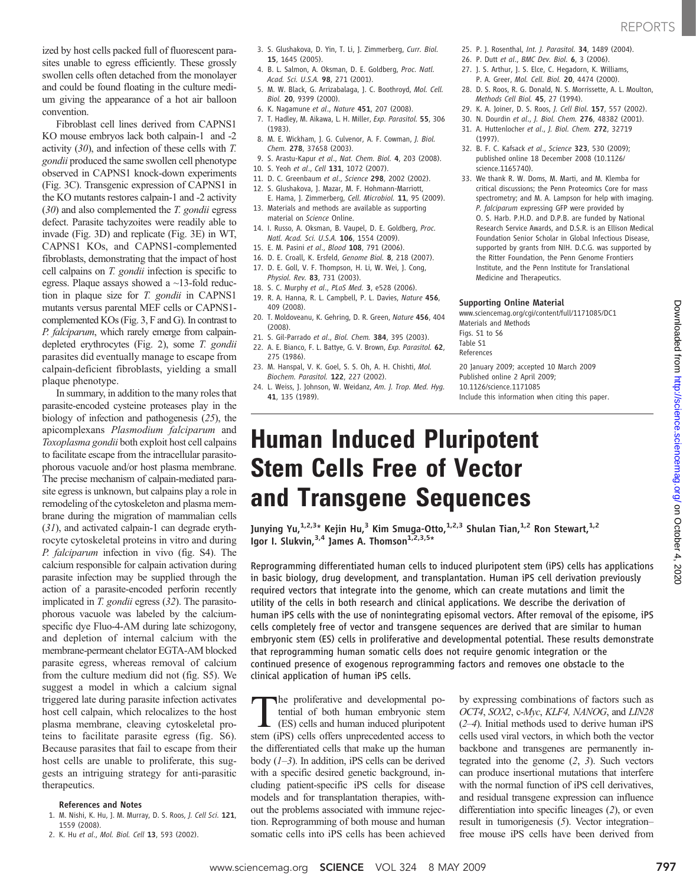ized by host cells packed full of fluorescent parasites unable to egress efficiently. These grossly swollen cells often detached from the monolayer and could be found floating in the culture medium giving the appearance of a hot air balloon convention.

Fibroblast cell lines derived from CAPNS1 KO mouse embryos lack both calpain-1 and -2 activity (30), and infection of these cells with T. gondii produced the same swollen cell phenotype observed in CAPNS1 knock-down experiments (Fig. 3C). Transgenic expression of CAPNS1 in the KO mutants restores calpain-1 and -2 activity  $(30)$  and also complemented the *T. gondii* egress defect. Parasite tachyzoites were readily able to invade (Fig. 3D) and replicate (Fig. 3E) in WT, CAPNS1 KOs, and CAPNS1-complemented fibroblasts, demonstrating that the impact of host cell calpains on T. gondii infection is specific to egress. Plaque assays showed a ~13-fold reduction in plaque size for T. gondii in CAPNS1 mutants versus parental MEF cells or CAPNS1 complemented KOs (Fig. 3, F and G). In contrast to P. falciparum, which rarely emerge from calpaindepleted erythrocytes (Fig. 2), some T. gondii parasites did eventually manage to escape from calpain-deficient fibroblasts, yielding a small plaque phenotype.

In summary, in addition to the many roles that parasite-encoded cysteine proteases play in the biology of infection and pathogenesis (25), the apicomplexans Plasmodium falciparum and Toxoplasma gondii both exploit host cell calpains to facilitate escape from the intracellular parasitophorous vacuole and/or host plasma membrane. The precise mechanism of calpain-mediated parasite egress is unknown, but calpains play a role in remodeling of the cytoskeleton and plasma membrane during the migration of mammalian cells (31), and activated calpain-1 can degrade erythrocyte cytoskeletal proteins in vitro and during P. falciparum infection in vivo (fig. S4). The calcium responsible for calpain activation during parasite infection may be supplied through the action of a parasite-encoded perforin recently implicated in *T. gondii* egress (32). The parasitophorous vacuole was labeled by the calciumspecific dye Fluo-4-AM during late schizogony, and depletion of internal calcium with the membrane-permeant chelator EGTA-AM blocked parasite egress, whereas removal of calcium from the culture medium did not (fig. S5). We suggest a model in which a calcium signal triggered late during parasite infection activates host cell calpain, which relocalizes to the host plasma membrane, cleaving cytoskeletal proteins to facilitate parasite egress (fig. S6). Because parasites that fail to escape from their host cells are unable to proliferate, this suggests an intriguing strategy for anti-parasitic therapeutics.

#### References and Notes

- 1. M. Nishi, K. Hu, J. M. Murray, D. S. Roos, J. Cell Sci. 121, 1559 (2008).
- 2. K. Hu et al., Mol. Biol. Cell 13, 593 (2002).
- 3. S. Glushakova, D. Yin, T. Li, J. Zimmerberg, Curr. Biol. 15, 1645 (2005).
- 4. B. L. Salmon, A. Oksman, D. E. Goldberg, Proc. Natl. Acad. Sci. U.S.A. 98, 271 (2001).
- 5. M. W. Black, G. Arrizabalaga, J. C. Boothroyd, Mol. Cell. Biol. 20, 9399 (2000).
- 6. K. Nagamune et al., Nature 451, 207 (2008).
- 7. T. Hadley, M. Aikawa, L. H. Miller, Exp. Parasitol. 55, 306 (1983).
- 8. M. E. Wickham, J. G. Culvenor, A. F. Cowman, J. Biol. Chem. 278, 37658 (2003).
- 9. S. Arastu-Kapur et al., Nat. Chem. Biol. 4, 203 (2008). 10. S. Yeoh et al., Cell 131, 1072 (2007).
- 11. D. C. Greenbaum et al., Science 298, 2002 (2002).
- 12. S. Glushakova, J. Mazar, M. F. Hohmann-Marriott, E. Hama, J. Zimmerberg, Cell. Microbiol. 11, 95 (2009). 13. Materials and methods are available as supporting
- material on Science Online.
- 14. I. Russo, A. Oksman, B. Vaupel, D. E. Goldberg, Proc. Natl. Acad. Sci. U.S.A. 106, 1554 (2009).
- 15. E. M. Pasini et al., Blood 108, 791 (2006).
- 16. D. E. Croall, K. Ersfeld, Genome Biol. 8, 218 (2007). 17. D. E. Goll, V. F. Thompson, H. Li, W. Wei, J. Cong,
	- Physiol. Rev. 83, 731 (2003).
	- 18. S. C. Murphy et al., PLoS Med. 3, e528 (2006).
	- 19. R. A. Hanna, R. L. Campbell, P. L. Davies, Nature 456, 409 (2008).
	- 20. T. Moldoveanu, K. Gehring, D. R. Green, Nature 456, 404 (2008).
	- 21. S. Gil-Parrado et al., Biol. Chem. 384, 395 (2003).
	- 22. A. E. Bianco, F. L. Battye, G. V. Brown, Exp. Parasitol. 62, 275 (1986).
	- 23. M. Hanspal, V. K. Goel, S. S. Oh, A. H. Chishti, Mol. Biochem. Parasitol. 122, 227 (2002).
	- 24. L. Weiss, J. Johnson, W. Weidanz, Am. J. Trop. Med. Hyg. 41, 135 (1989).
- 25. P. J. Rosenthal, Int. J. Parasitol. 34, 1489 (2004).
- 26. P. Dutt et al., BMC Dev. Biol. 6, 3 (2006).
- 27. J. S. Arthur, J. S. Elce, C. Hegadorn, K. Williams,
- P. A. Greer, Mol. Cell. Biol. 20, 4474 (2000).
- 28. D. S. Roos, R. G. Donald, N. S. Morrissette, A. L. Moulton, Methods Cell Biol. 45, 27 (1994).
- 29. K. A. Joiner, D. S. Roos, J. Cell Biol. 157, 557 (2002).
- 30. N. Dourdin et al., I. Biol. Chem. 276, 48382 (2001). 31. A. Huttenlocher et al., J. Biol. Chem. 272, 32719
- (1997). 32. B. F. C. Kafsack et al., Science 323, 530 (2009); published online 18 December 2008 (10.1126/ science.1165740).
- 33. We thank R. W. Doms, M. Marti, and M. Klemba for critical discussions; the Penn Proteomics Core for mass spectrometry; and M. A. Lampson for help with imaging. P. falciparum expressing GFP were provided by O. S. Harb. P.H.D. and D.P.B. are funded by National Research Service Awards, and D.S.R. is an Ellison Medical Foundation Senior Scholar in Global Infectious Disease, supported by grants from NIH. D.C.G. was supported by the Ritter Foundation, the Penn Genome Frontiers Institute, and the Penn Institute for Translational Medicine and Therapeutics.

#### Supporting Online Material

www.sciencemag.org/cgi/content/full/1171085/DC1 Materials and Methods Figs. S1 to S6 Table S1 References

20 January 2009; accepted 10 March 2009 Published online 2 April 2009; 10.1126/science.1171085 Include this information when citing this paper.

## Human Induced Pluripotent Stem Cells Free of Vector and Transgene Sequences

Junying Yu,<sup>1,2,3\*</sup> Kejin Hu,<sup>3</sup> Kim Smuga-Otto,<sup>1,2,3</sup> Shulan Tian,<sup>1,2</sup> Ron Stewart,<sup>1,2</sup> Igor I. Slukvin, 3,4 James A. Thomson<sup>1,2,3,5</sup>\*

Reprogramming differentiated human cells to induced pluripotent stem (iPS) cells has applications in basic biology, drug development, and transplantation. Human iPS cell derivation previously required vectors that integrate into the genome, which can create mutations and limit the utility of the cells in both research and clinical applications. We describe the derivation of human iPS cells with the use of nonintegrating episomal vectors. After removal of the episome, iPS cells completely free of vector and transgene sequences are derived that are similar to human embryonic stem (ES) cells in proliferative and developmental potential. These results demonstrate that reprogramming human somatic cells does not require genomic integration or the continued presence of exogenous reprogramming factors and removes one obstacle to the clinical application of human iPS cells.

The proliferative and developmental potential of both human embryonic stem (ES) cells and human induced pluripotent stem (iPS) cells offers unprecedented access to the differentiated cells that make up the human body  $(1-3)$ . In addition, iPS cells can be derived with a specific desired genetic background, including patient-specific iPS cells for disease models and for transplantation therapies, without the problems associated with immune rejection. Reprogramming of both mouse and human somatic cells into iPS cells has been achieved

by expressing combinations of factors such as OCT4, SOX2, c-Myc, KLF4, NANOG, and LIN28 (2–4). Initial methods used to derive human iPS cells used viral vectors, in which both the vector backbone and transgenes are permanently integrated into the genome  $(2, 3)$ . Such vectors can produce insertional mutations that interfere with the normal function of iPS cell derivatives, and residual transgene expression can influence differentiation into specific lineages (2), or even result in tumorigenesis (5). Vector integration– free mouse iPS cells have been derived from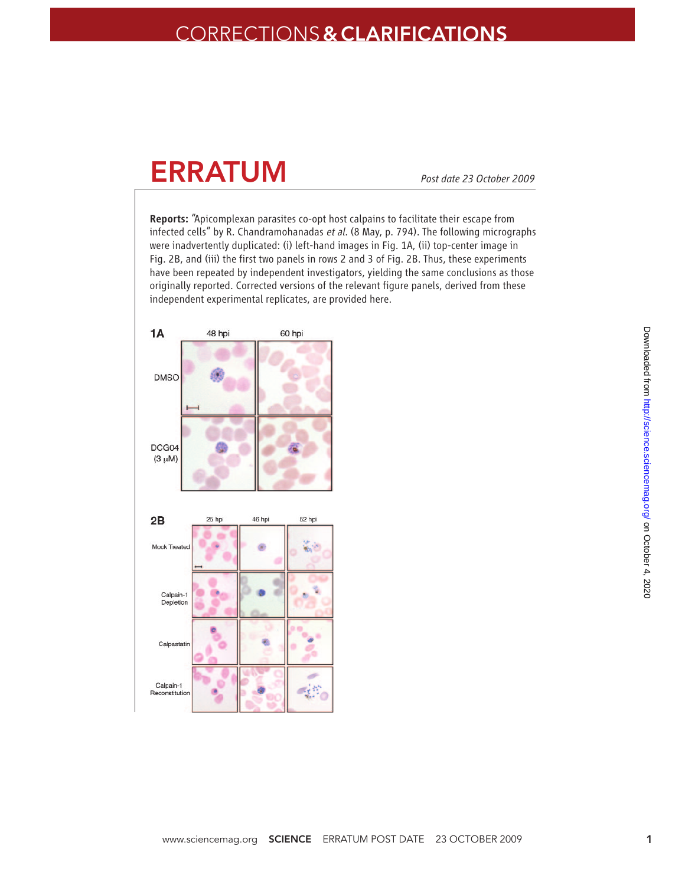### CORRECTIONS**& CLARIFICATIONS**

# **ERRATUM**

*Post date 23 October 2009*

Reports: "Apicomplexan parasites co-opt host calpains to facilitate their escape from infected cells" by R. Chandramohanadas et al. (8 May, p. 794). The following micrographs were inadvertently duplicated: (i) left-hand images in Fig. 1A, (ii) top-center image in Fig. 2B, and (iii) the first two panels in rows 2 and 3 of Fig. 2B. Thus, these experiments have been repeated by independent investigators, yielding the same conclusions as those originally reported. Corrected versions of the relevant figure panels, derived from these independent experimental replicates, are provided here.